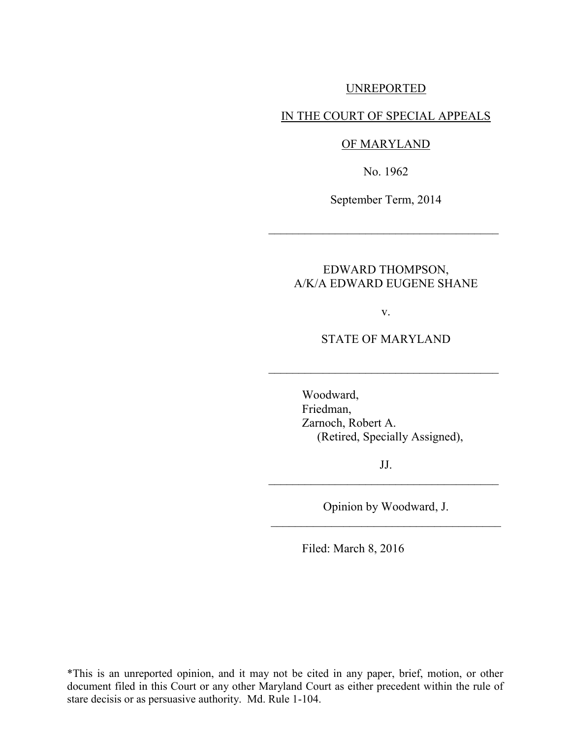### UNREPORTED

#### IN THE COURT OF SPECIAL APPEALS

#### OF MARYLAND

No. 1962

September Term, 2014

 $\mathcal{L}_\text{max}$  , where  $\mathcal{L}_\text{max}$  , we are the set of  $\mathcal{L}_\text{max}$ 

# EDWARD THOMPSON, A/K/A EDWARD EUGENE SHANE

v.

STATE OF MARYLAND

 $\mathcal{L}_\text{max}$  , where  $\mathcal{L}_\text{max}$  , we are the set of  $\mathcal{L}_\text{max}$ 

 Woodward, Friedman, Zarnoch, Robert A. (Retired, Specially Assigned),

JJ.  $\mathcal{L}_\text{max}$  , where  $\mathcal{L}_\text{max}$  , we are the set of  $\mathcal{L}_\text{max}$ 

Opinion by Woodward, J. \_\_\_\_\_\_\_\_\_\_\_\_\_\_\_\_\_\_\_\_\_\_\_\_\_\_\_\_\_\_\_\_\_\_\_\_\_\_

Filed: March 8, 2016

\*This is an unreported opinion, and it may not be cited in any paper, brief, motion, or other document filed in this Court or any other Maryland Court as either precedent within the rule of stare decisis or as persuasive authority. Md. Rule 1-104.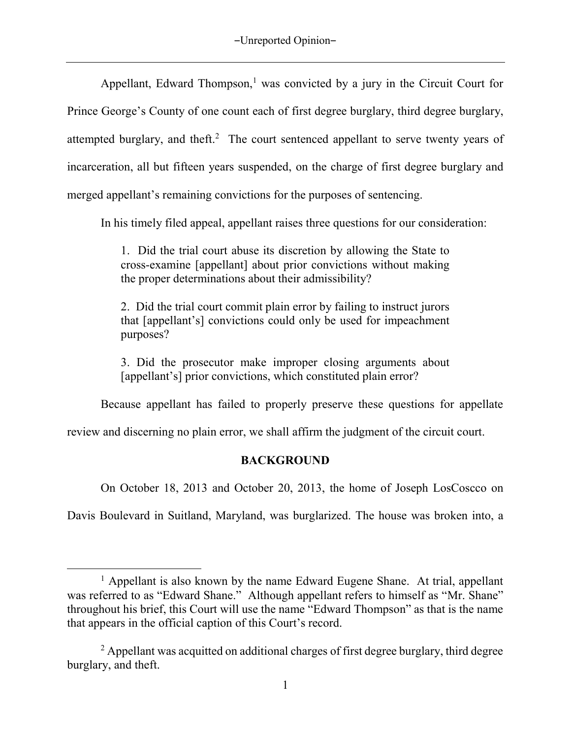Appellant, Edward Thompson,<sup>1</sup> was convicted by a jury in the Circuit Court for Prince George's County of one count each of first degree burglary, third degree burglary, attempted burglary, and theft.<sup>2</sup> The court sentenced appellant to serve twenty years of incarceration, all but fifteen years suspended, on the charge of first degree burglary and merged appellant's remaining convictions for the purposes of sentencing.

In his timely filed appeal, appellant raises three questions for our consideration:

1. Did the trial court abuse its discretion by allowing the State to cross-examine [appellant] about prior convictions without making the proper determinations about their admissibility?

2. Did the trial court commit plain error by failing to instruct jurors that [appellant's] convictions could only be used for impeachment purposes?

3. Did the prosecutor make improper closing arguments about [appellant's] prior convictions, which constituted plain error?

Because appellant has failed to properly preserve these questions for appellate

review and discerning no plain error, we shall affirm the judgment of the circuit court.

# **BACKGROUND**

On October 18, 2013 and October 20, 2013, the home of Joseph LosCoscco on

Davis Boulevard in Suitland, Maryland, was burglarized. The house was broken into, a

 $\overline{a}$ 

<sup>&</sup>lt;sup>1</sup> Appellant is also known by the name Edward Eugene Shane. At trial, appellant was referred to as "Edward Shane." Although appellant refers to himself as "Mr. Shane" throughout his brief, this Court will use the name "Edward Thompson" as that is the name that appears in the official caption of this Court's record.

<sup>&</sup>lt;sup>2</sup> Appellant was acquitted on additional charges of first degree burglary, third degree burglary, and theft.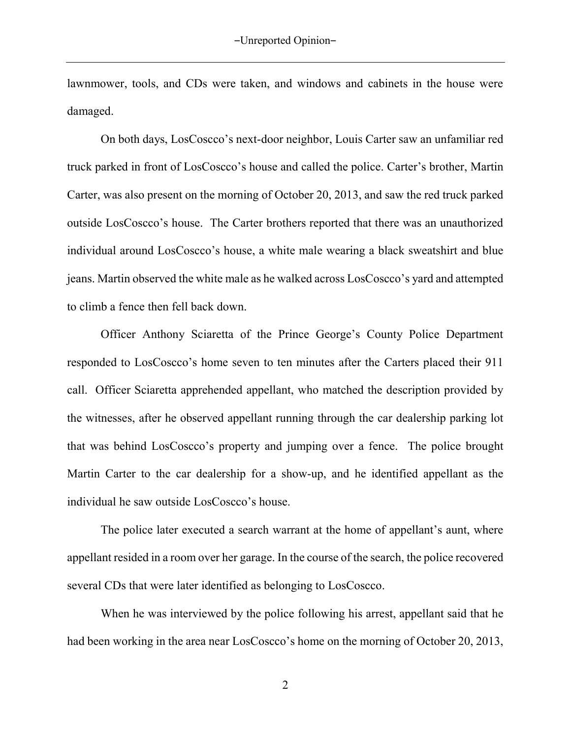lawnmower, tools, and CDs were taken, and windows and cabinets in the house were damaged.

On both days, LosCoscco's next-door neighbor, Louis Carter saw an unfamiliar red truck parked in front of LosCoscco's house and called the police. Carter's brother, Martin Carter, was also present on the morning of October 20, 2013, and saw the red truck parked outside LosCoscco's house. The Carter brothers reported that there was an unauthorized individual around LosCoscco's house, a white male wearing a black sweatshirt and blue jeans. Martin observed the white male as he walked across LosCoscco's yard and attempted to climb a fence then fell back down.

Officer Anthony Sciaretta of the Prince George's County Police Department responded to LosCoscco's home seven to ten minutes after the Carters placed their 911 call. Officer Sciaretta apprehended appellant, who matched the description provided by the witnesses, after he observed appellant running through the car dealership parking lot that was behind LosCoscco's property and jumping over a fence. The police brought Martin Carter to the car dealership for a show-up, and he identified appellant as the individual he saw outside LosCoscco's house.

The police later executed a search warrant at the home of appellant's aunt, where appellant resided in a room over her garage. In the course of the search, the police recovered several CDs that were later identified as belonging to LosCoscco.

When he was interviewed by the police following his arrest, appellant said that he had been working in the area near LosCoscco's home on the morning of October 20, 2013,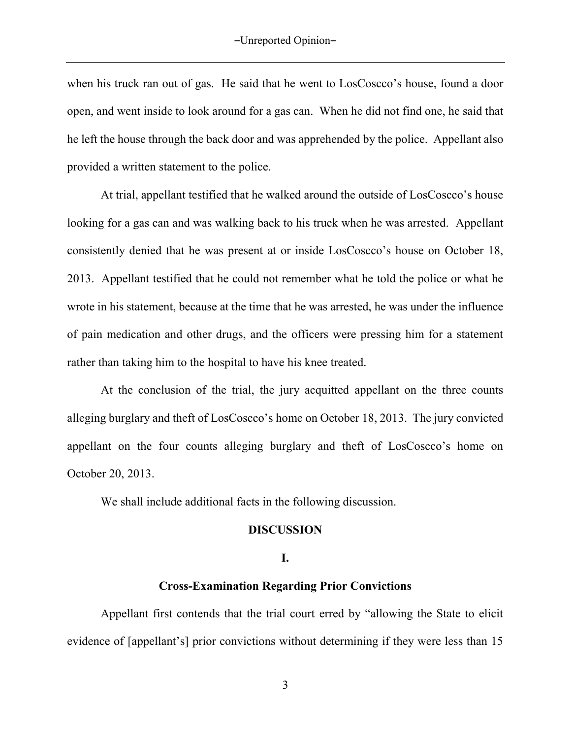when his truck ran out of gas. He said that he went to LosCoscco's house, found a door open, and went inside to look around for a gas can. When he did not find one, he said that he left the house through the back door and was apprehended by the police. Appellant also provided a written statement to the police.

At trial, appellant testified that he walked around the outside of LosCoscco's house looking for a gas can and was walking back to his truck when he was arrested. Appellant consistently denied that he was present at or inside LosCoscco's house on October 18, 2013. Appellant testified that he could not remember what he told the police or what he wrote in his statement, because at the time that he was arrested, he was under the influence of pain medication and other drugs, and the officers were pressing him for a statement rather than taking him to the hospital to have his knee treated.

At the conclusion of the trial, the jury acquitted appellant on the three counts alleging burglary and theft of LosCoscco's home on October 18, 2013. The jury convicted appellant on the four counts alleging burglary and theft of LosCoscco's home on October 20, 2013.

We shall include additional facts in the following discussion.

### **DISCUSSION**

### **I.**

## **Cross-Examination Regarding Prior Convictions**

Appellant first contends that the trial court erred by "allowing the State to elicit evidence of [appellant's] prior convictions without determining if they were less than 15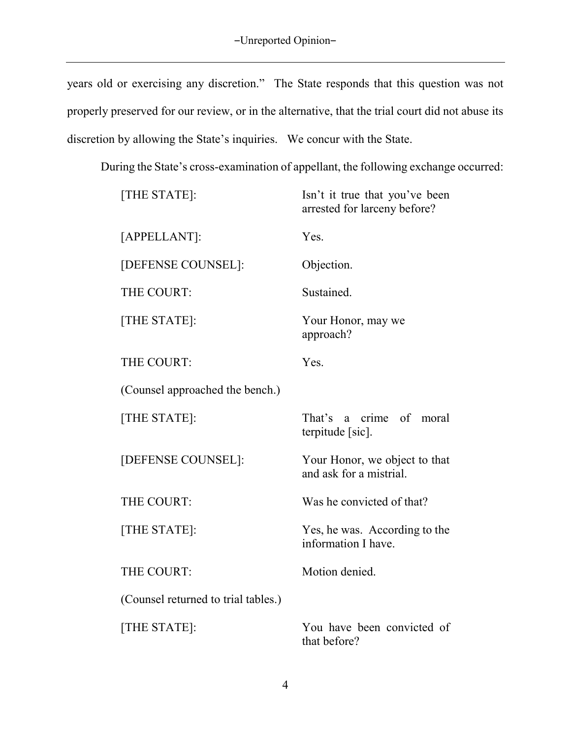years old or exercising any discretion." The State responds that this question was not properly preserved for our review, or in the alternative, that the trial court did not abuse its discretion by allowing the State's inquiries. We concur with the State.

During the State's cross-examination of appellant, the following exchange occurred:

| [THE STATE]:                        | Isn't it true that you've been<br>arrested for larceny before? |
|-------------------------------------|----------------------------------------------------------------|
| [APPELLANT]:                        | Yes.                                                           |
| [DEFENSE COUNSEL]:                  | Objection.                                                     |
| THE COURT:                          | Sustained.                                                     |
| [THE STATE]:                        | Your Honor, may we<br>approach?                                |
| THE COURT:                          | Yes.                                                           |
| (Counsel approached the bench.)     |                                                                |
| [THE STATE]:                        | That's a crime of<br>moral<br>terpitude [sic].                 |
| [DEFENSE COUNSEL]:                  | Your Honor, we object to that<br>and ask for a mistrial.       |
| THE COURT:                          | Was he convicted of that?                                      |
| [THE STATE]:                        | Yes, he was. According to the<br>information I have.           |
| THE COURT:                          | Motion denied.                                                 |
| (Counsel returned to trial tables.) |                                                                |
| [THE STATE]:                        | You have been convicted of<br>that before?                     |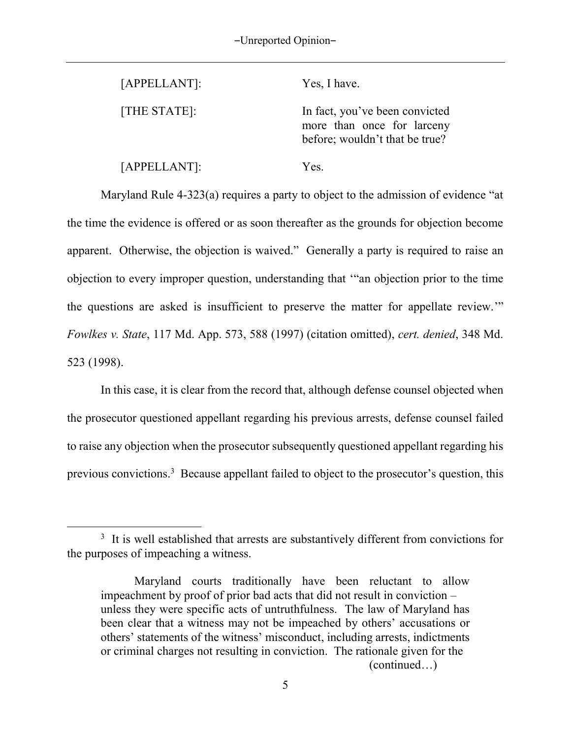[APPELLANT]: Yes, I have.

[THE STATE]: In fact, you've been convicted more than once for larceny before; wouldn't that be true?

[APPELLANT]: Yes.

 $\overline{a}$ 

Maryland Rule 4-323(a) requires a party to object to the admission of evidence "at the time the evidence is offered or as soon thereafter as the grounds for objection become apparent. Otherwise, the objection is waived." Generally a party is required to raise an objection to every improper question, understanding that '"an objection prior to the time the questions are asked is insufficient to preserve the matter for appellate review.'" *Fowlkes v. State*, 117 Md. App. 573, 588 (1997) (citation omitted), *cert. denied*, 348 Md. 523 (1998).

In this case, it is clear from the record that, although defense counsel objected when the prosecutor questioned appellant regarding his previous arrests, defense counsel failed to raise any objection when the prosecutor subsequently questioned appellant regarding his previous convictions.<sup>3</sup> Because appellant failed to object to the prosecutor's question, this

<sup>&</sup>lt;sup>3</sup> It is well established that arrests are substantively different from convictions for the purposes of impeaching a witness.

Maryland courts traditionally have been reluctant to allow impeachment by proof of prior bad acts that did not result in conviction – unless they were specific acts of untruthfulness. The law of Maryland has been clear that a witness may not be impeached by others' accusations or others' statements of the witness' misconduct, including arrests, indictments or criminal charges not resulting in conviction. The rationale given for the (continued…)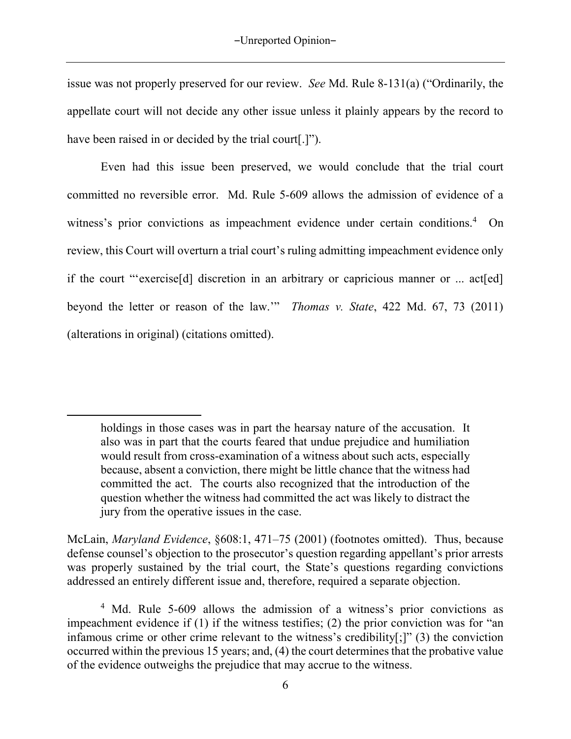issue was not properly preserved for our review. *See* Md. Rule 8-131(a) ("Ordinarily, the appellate court will not decide any other issue unless it plainly appears by the record to have been raised in or decided by the trial court[.]").

Even had this issue been preserved, we would conclude that the trial court committed no reversible error. Md. Rule 5-609 allows the admission of evidence of a witness's prior convictions as impeachment evidence under certain conditions.<sup>4</sup> On review, this Court will overturn a trial court's ruling admitting impeachment evidence only if the court "'exercise[d] discretion in an arbitrary or capricious manner or ... act[ed] beyond the letter or reason of the law.'" *Thomas v. State*, 422 Md. 67, 73 (2011) (alterations in original) (citations omitted).

 $\overline{a}$ 

holdings in those cases was in part the hearsay nature of the accusation. It also was in part that the courts feared that undue prejudice and humiliation would result from cross-examination of a witness about such acts, especially because, absent a conviction, there might be little chance that the witness had committed the act. The courts also recognized that the introduction of the question whether the witness had committed the act was likely to distract the jury from the operative issues in the case.

McLain, *Maryland Evidence*, §608:1, 471–75 (2001) (footnotes omitted). Thus, because defense counsel's objection to the prosecutor's question regarding appellant's prior arrests was properly sustained by the trial court, the State's questions regarding convictions addressed an entirely different issue and, therefore, required a separate objection.

<sup>&</sup>lt;sup>4</sup> Md. Rule 5-609 allows the admission of a witness's prior convictions as impeachment evidence if (1) if the witness testifies; (2) the prior conviction was for "an infamous crime or other crime relevant to the witness's credibility[;]" (3) the conviction occurred within the previous 15 years; and, (4) the court determines that the probative value of the evidence outweighs the prejudice that may accrue to the witness.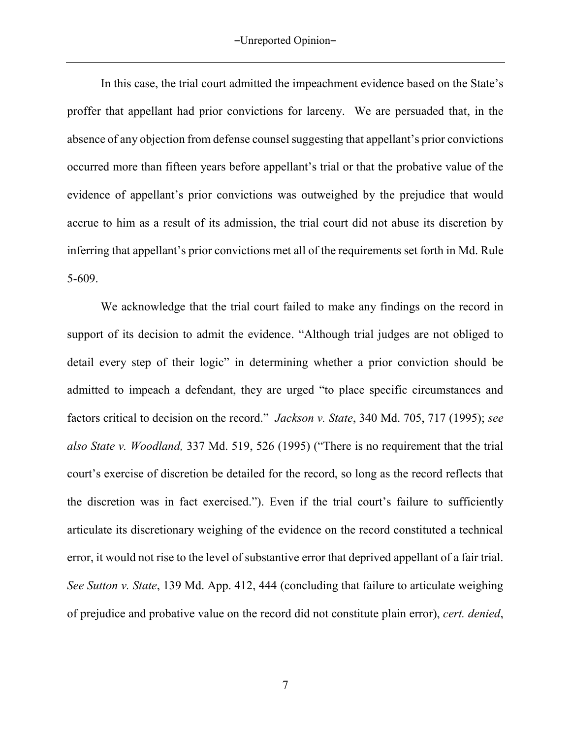In this case, the trial court admitted the impeachment evidence based on the State's proffer that appellant had prior convictions for larceny. We are persuaded that, in the absence of any objection from defense counsel suggesting that appellant's prior convictions occurred more than fifteen years before appellant's trial or that the probative value of the evidence of appellant's prior convictions was outweighed by the prejudice that would accrue to him as a result of its admission, the trial court did not abuse its discretion by inferring that appellant's prior convictions met all of the requirements set forth in Md. Rule 5-609.

We acknowledge that the trial court failed to make any findings on the record in support of its decision to admit the evidence. "Although trial judges are not obliged to detail every step of their logic" in determining whether a prior conviction should be admitted to impeach a defendant, they are urged "to place specific circumstances and factors critical to decision on the record." *Jackson v. State*, 340 Md. 705, 717 (1995); *see also State v. Woodland,* 337 Md. 519, 526 (1995) ("There is no requirement that the trial court's exercise of discretion be detailed for the record, so long as the record reflects that the discretion was in fact exercised."). Even if the trial court's failure to sufficiently articulate its discretionary weighing of the evidence on the record constituted a technical error, it would not rise to the level of substantive error that deprived appellant of a fair trial. *See Sutton v. State*, 139 Md. App. 412, 444 (concluding that failure to articulate weighing of prejudice and probative value on the record did not constitute plain error), *cert. denied*,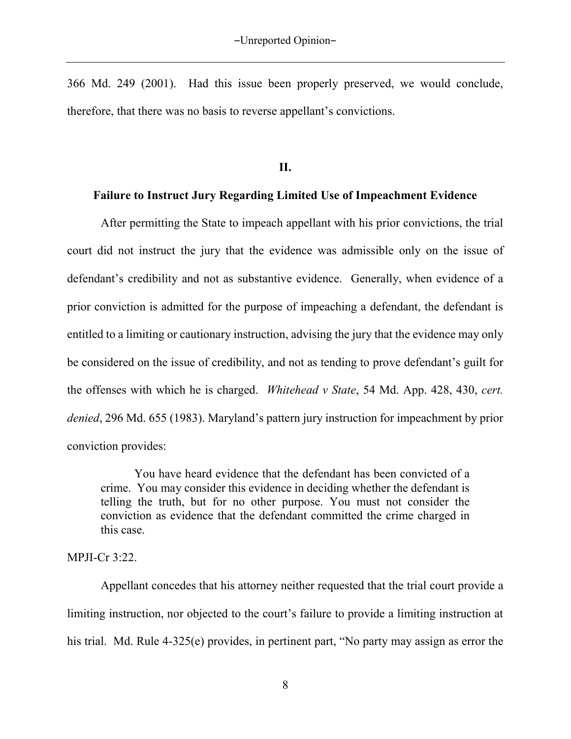366 Md. 249 (2001).Had this issue been properly preserved, we would conclude, therefore, that there was no basis to reverse appellant's convictions.

**II.** 

### **Failure to Instruct Jury Regarding Limited Use of Impeachment Evidence**

After permitting the State to impeach appellant with his prior convictions, the trial court did not instruct the jury that the evidence was admissible only on the issue of defendant's credibility and not as substantive evidence. Generally, when evidence of a prior conviction is admitted for the purpose of impeaching a defendant, the defendant is entitled to a limiting or cautionary instruction, advising the jury that the evidence may only be considered on the issue of credibility, and not as tending to prove defendant's guilt for the offenses with which he is charged. *Whitehead v State*, 54 Md. App. 428, 430, *cert. denied*, 296 Md. 655 (1983). Maryland's pattern jury instruction for impeachment by prior conviction provides:

 You have heard evidence that the defendant has been convicted of a crime. You may consider this evidence in deciding whether the defendant is telling the truth, but for no other purpose. You must not consider the conviction as evidence that the defendant committed the crime charged in this case.

#### MPJI-Cr 3:22.

Appellant concedes that his attorney neither requested that the trial court provide a limiting instruction, nor objected to the court's failure to provide a limiting instruction at his trial. Md. Rule 4-325(e) provides, in pertinent part, "No party may assign as error the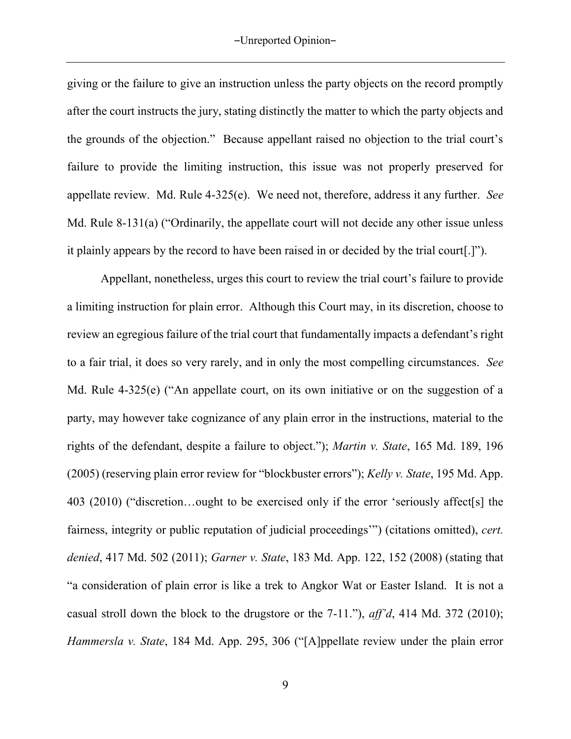giving or the failure to give an instruction unless the party objects on the record promptly after the court instructs the jury, stating distinctly the matter to which the party objects and the grounds of the objection." Because appellant raised no objection to the trial court's failure to provide the limiting instruction, this issue was not properly preserved for appellate review. Md. Rule 4-325(e). We need not, therefore, address it any further. *See* Md. Rule 8-131(a) ("Ordinarily, the appellate court will not decide any other issue unless it plainly appears by the record to have been raised in or decided by the trial court[.]").

Appellant, nonetheless, urges this court to review the trial court's failure to provide a limiting instruction for plain error. Although this Court may, in its discretion, choose to review an egregious failure of the trial court that fundamentally impacts a defendant's right to a fair trial, it does so very rarely, and in only the most compelling circumstances. *See* Md. Rule 4-325(e) ("An appellate court, on its own initiative or on the suggestion of a party, may however take cognizance of any plain error in the instructions, material to the rights of the defendant, despite a failure to object."); *Martin v. State*, 165 Md. 189, 196 (2005) (reserving plain error review for "blockbuster errors"); *Kelly v. State*, 195 Md. App. 403 (2010) ("discretion…ought to be exercised only if the error 'seriously affect[s] the fairness, integrity or public reputation of judicial proceedings'") (citations omitted), *cert. denied*, 417 Md. 502 (2011); *Garner v. State*, 183 Md. App. 122, 152 (2008) (stating that "a consideration of plain error is like a trek to Angkor Wat or Easter Island. It is not a casual stroll down the block to the drugstore or the 7-11."), *aff'd*, 414 Md. 372 (2010); *Hammersla v. State*, 184 Md. App. 295, 306 ("[A]ppellate review under the plain error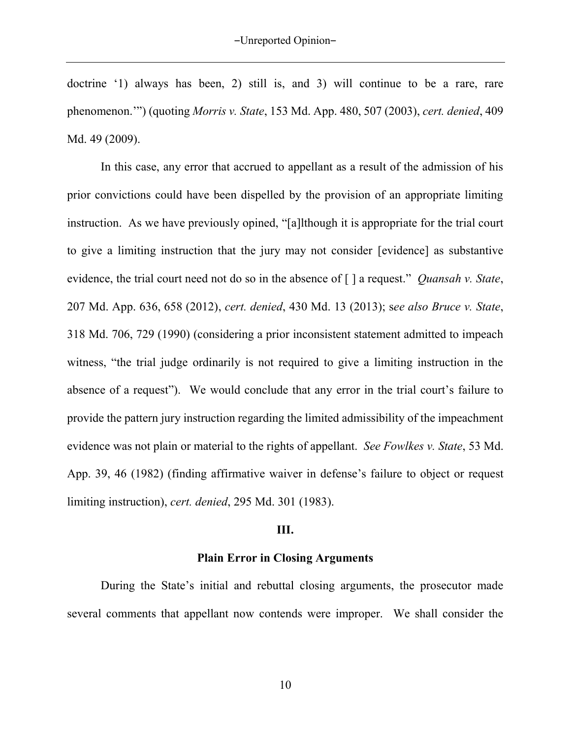doctrine '1) always has been, 2) still is, and 3) will continue to be a rare, rare phenomenon.'") (quoting *Morris v. State*, 153 Md. App. 480, 507 (2003), *cert. denied*, 409 Md. 49 (2009).

In this case, any error that accrued to appellant as a result of the admission of his prior convictions could have been dispelled by the provision of an appropriate limiting instruction. As we have previously opined, "[a]lthough it is appropriate for the trial court to give a limiting instruction that the jury may not consider [evidence] as substantive evidence, the trial court need not do so in the absence of [ ] a request." *Quansah v. State*, 207 Md. App. 636, 658 (2012), *cert. denied*, 430 Md. 13 (2013); s*ee also Bruce v. State*, 318 Md. 706, 729 (1990) (considering a prior inconsistent statement admitted to impeach witness, "the trial judge ordinarily is not required to give a limiting instruction in the absence of a request"). We would conclude that any error in the trial court's failure to provide the pattern jury instruction regarding the limited admissibility of the impeachment evidence was not plain or material to the rights of appellant. *See Fowlkes v. State*, 53 Md. App. 39, 46 (1982) (finding affirmative waiver in defense's failure to object or request limiting instruction), *cert. denied*, 295 Md. 301 (1983).

#### **III.**

#### **Plain Error in Closing Arguments**

During the State's initial and rebuttal closing arguments, the prosecutor made several comments that appellant now contends were improper. We shall consider the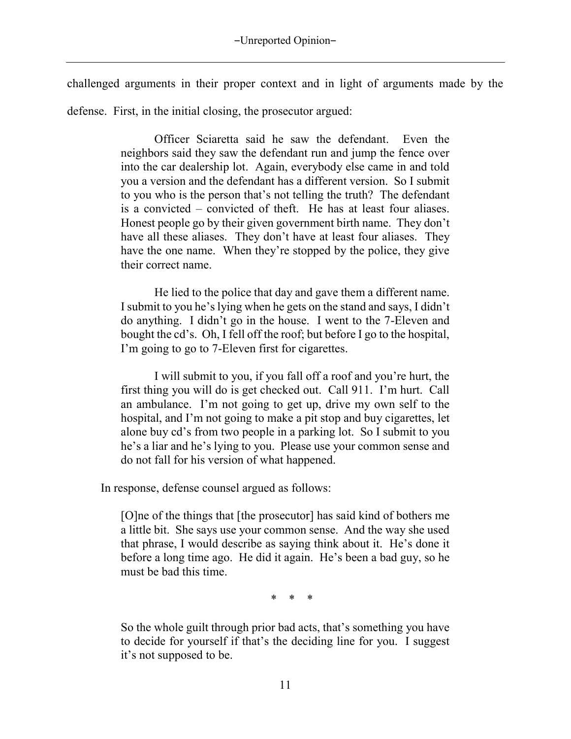challenged arguments in their proper context and in light of arguments made by the defense. First, in the initial closing, the prosecutor argued:

> Officer Sciaretta said he saw the defendant. Even the neighbors said they saw the defendant run and jump the fence over into the car dealership lot. Again, everybody else came in and told you a version and the defendant has a different version. So I submit to you who is the person that's not telling the truth? The defendant is a convicted – convicted of theft. He has at least four aliases. Honest people go by their given government birth name. They don't have all these aliases. They don't have at least four aliases. They have the one name. When they're stopped by the police, they give their correct name.

> He lied to the police that day and gave them a different name. I submit to you he's lying when he gets on the stand and says, I didn't do anything. I didn't go in the house. I went to the 7-Eleven and bought the cd's. Oh, I fell off the roof; but before I go to the hospital, I'm going to go to 7-Eleven first for cigarettes.

> I will submit to you, if you fall off a roof and you're hurt, the first thing you will do is get checked out. Call 911. I'm hurt. Call an ambulance. I'm not going to get up, drive my own self to the hospital, and I'm not going to make a pit stop and buy cigarettes, let alone buy cd's from two people in a parking lot. So I submit to you he's a liar and he's lying to you. Please use your common sense and do not fall for his version of what happened.

In response, defense counsel argued as follows:

[O]ne of the things that [the prosecutor] has said kind of bothers me a little bit. She says use your common sense. And the way she used that phrase, I would describe as saying think about it. He's done it before a long time ago. He did it again. He's been a bad guy, so he must be bad this time.

\* \* \*

So the whole guilt through prior bad acts, that's something you have to decide for yourself if that's the deciding line for you. I suggest it's not supposed to be.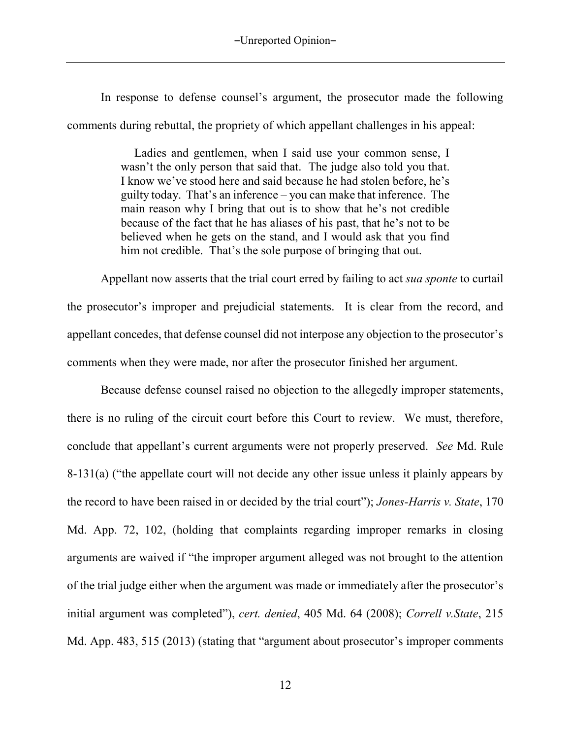In response to defense counsel's argument, the prosecutor made the following comments during rebuttal, the propriety of which appellant challenges in his appeal:

> Ladies and gentlemen, when I said use your common sense, I wasn't the only person that said that. The judge also told you that. I know we've stood here and said because he had stolen before, he's guilty today. That's an inference – you can make that inference. The main reason why I bring that out is to show that he's not credible because of the fact that he has aliases of his past, that he's not to be believed when he gets on the stand, and I would ask that you find him not credible. That's the sole purpose of bringing that out.

Appellant now asserts that the trial court erred by failing to act *sua sponte* to curtail the prosecutor's improper and prejudicial statements. It is clear from the record, and appellant concedes, that defense counsel did not interpose any objection to the prosecutor's comments when they were made, nor after the prosecutor finished her argument.

Because defense counsel raised no objection to the allegedly improper statements, there is no ruling of the circuit court before this Court to review. We must, therefore, conclude that appellant's current arguments were not properly preserved. *See* Md. Rule 8-131(a) ("the appellate court will not decide any other issue unless it plainly appears by the record to have been raised in or decided by the trial court"); *Jones-Harris v. State*, 170 Md. App. 72, 102, (holding that complaints regarding improper remarks in closing arguments are waived if "the improper argument alleged was not brought to the attention of the trial judge either when the argument was made or immediately after the prosecutor's initial argument was completed"), *cert. denied*, 405 Md. 64 (2008); *Correll v.State*, 215 Md. App. 483, 515 (2013) (stating that "argument about prosecutor's improper comments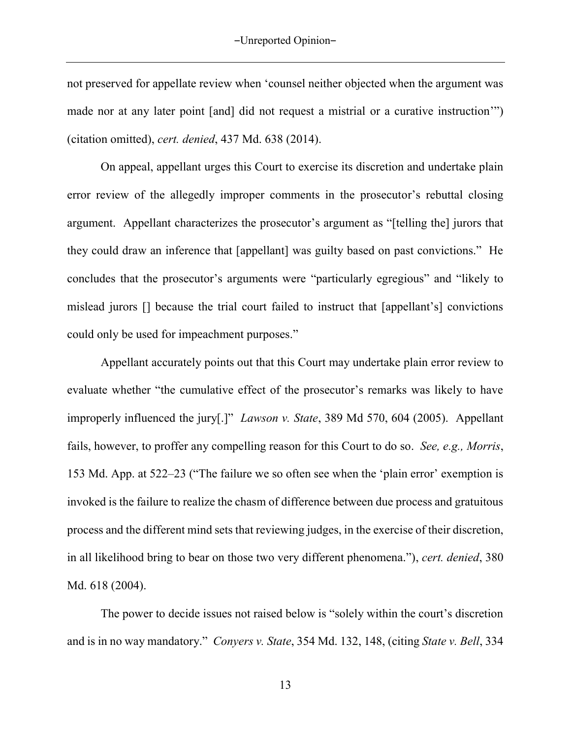not preserved for appellate review when 'counsel neither objected when the argument was made nor at any later point [and] did not request a mistrial or a curative instruction'") (citation omitted), *cert. denied*, 437 Md. 638 (2014).

On appeal, appellant urges this Court to exercise its discretion and undertake plain error review of the allegedly improper comments in the prosecutor's rebuttal closing argument. Appellant characterizes the prosecutor's argument as "[telling the] jurors that they could draw an inference that [appellant] was guilty based on past convictions." He concludes that the prosecutor's arguments were "particularly egregious" and "likely to mislead jurors [] because the trial court failed to instruct that [appellant's] convictions could only be used for impeachment purposes."

Appellant accurately points out that this Court may undertake plain error review to evaluate whether "the cumulative effect of the prosecutor's remarks was likely to have improperly influenced the jury[.]" *Lawson v. State*, 389 Md 570, 604 (2005). Appellant fails, however, to proffer any compelling reason for this Court to do so. *See, e.g., Morris*, 153 Md. App. at 522–23 ("The failure we so often see when the 'plain error' exemption is invoked is the failure to realize the chasm of difference between due process and gratuitous process and the different mind sets that reviewing judges, in the exercise of their discretion, in all likelihood bring to bear on those two very different phenomena."), *cert. denied*, 380 Md. 618 (2004).

The power to decide issues not raised below is "solely within the court's discretion and is in no way mandatory." *Conyers v. State*, 354 Md. 132, 148, (citing *State v. Bell*, 334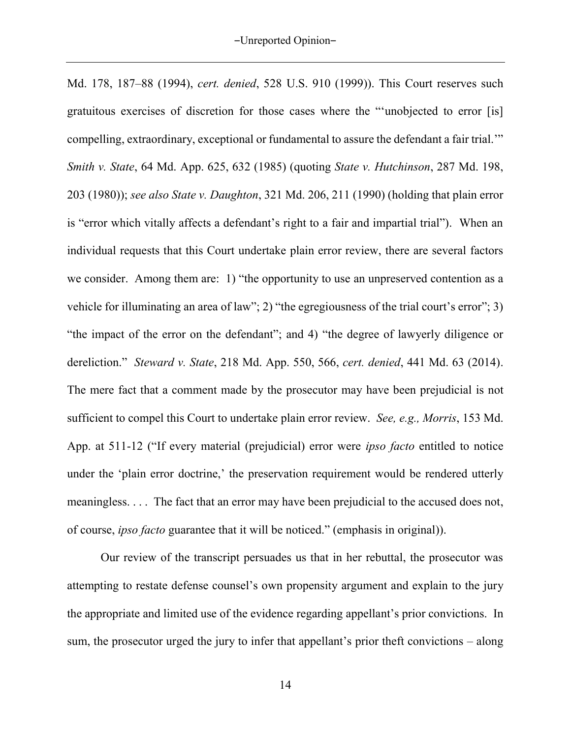Md. 178, 187–88 (1994), *cert. denied*, 528 U.S. 910 (1999)). This Court reserves such gratuitous exercises of discretion for those cases where the "'unobjected to error [is] compelling, extraordinary, exceptional or fundamental to assure the defendant a fair trial.'" *Smith v. State*, 64 Md. App. 625, 632 (1985) (quoting *State v. Hutchinson*, 287 Md. 198, 203 (1980)); *see also State v. Daughton*, 321 Md. 206, 211 (1990) (holding that plain error is "error which vitally affects a defendant's right to a fair and impartial trial"). When an individual requests that this Court undertake plain error review, there are several factors we consider. Among them are: 1) "the opportunity to use an unpreserved contention as a vehicle for illuminating an area of law"; 2) "the egregiousness of the trial court's error"; 3) "the impact of the error on the defendant"; and 4) "the degree of lawyerly diligence or dereliction." *Steward v. State*, 218 Md. App. 550, 566, *cert. denied*, 441 Md. 63 (2014). The mere fact that a comment made by the prosecutor may have been prejudicial is not sufficient to compel this Court to undertake plain error review. *See, e.g., Morris*, 153 Md. App. at 511-12 ("If every material (prejudicial) error were *ipso facto* entitled to notice under the 'plain error doctrine,' the preservation requirement would be rendered utterly meaningless. . . . The fact that an error may have been prejudicial to the accused does not, of course, *ipso facto* guarantee that it will be noticed." (emphasis in original)).

Our review of the transcript persuades us that in her rebuttal, the prosecutor was attempting to restate defense counsel's own propensity argument and explain to the jury the appropriate and limited use of the evidence regarding appellant's prior convictions. In sum, the prosecutor urged the jury to infer that appellant's prior theft convictions – along